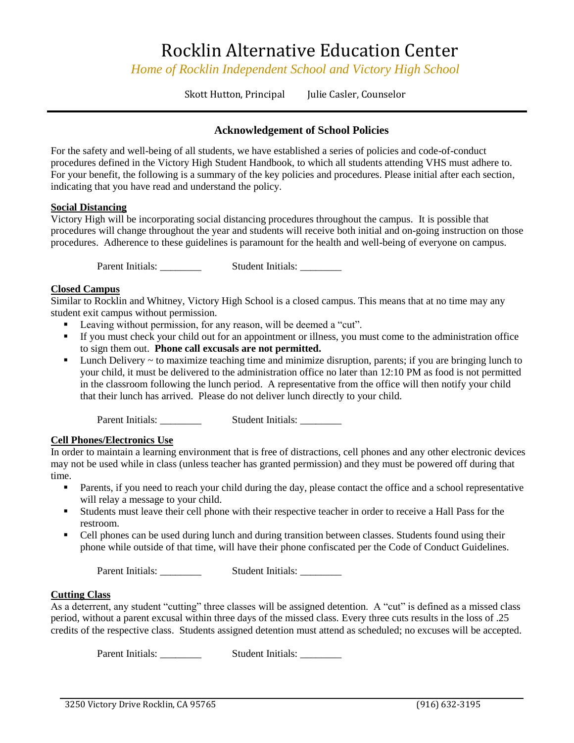## Rocklin Alternative Education Center

*Home of Rocklin Independent School and Victory High School*

Skott Hutton, Principal Julie Casler, Counselor

### **Acknowledgement of School Policies**

For the safety and well-being of all students, we have established a series of policies and code-of-conduct procedures defined in the Victory High Student Handbook, to which all students attending VHS must adhere to. For your benefit, the following is a summary of the key policies and procedures. Please initial after each section, indicating that you have read and understand the policy.

#### **Social Distancing**

Victory High will be incorporating social distancing procedures throughout the campus. It is possible that procedures will change throughout the year and students will receive both initial and on-going instruction on those procedures. Adherence to these guidelines is paramount for the health and well-being of everyone on campus.

Parent Initials: Student Initials:

#### **Closed Campus**

Similar to Rocklin and Whitney, Victory High School is a closed campus. This means that at no time may any student exit campus without permission.

- Leaving without permission, for any reason, will be deemed a "cut".
- If you must check your child out for an appointment or illness, you must come to the administration office to sign them out. **Phone call excusals are not permitted.**
- $\blacksquare$  Lunch Delivery  $\sim$  to maximize teaching time and minimize disruption, parents; if you are bringing lunch to your child, it must be delivered to the administration office no later than 12:10 PM as food is not permitted in the classroom following the lunch period. A representative from the office will then notify your child that their lunch has arrived. Please do not deliver lunch directly to your child.

Parent Initials: Student Initials:

#### **Cell Phones/Electronics Use**

In order to maintain a learning environment that is free of distractions, cell phones and any other electronic devices may not be used while in class (unless teacher has granted permission) and they must be powered off during that time.

- **•** Parents, if you need to reach your child during the day, please contact the office and a school representative will relay a message to your child.
- Students must leave their cell phone with their respective teacher in order to receive a Hall Pass for the restroom.
- Cell phones can be used during lunch and during transition between classes. Students found using their phone while outside of that time, will have their phone confiscated per the Code of Conduct Guidelines.

Parent Initials: \_\_\_\_\_\_\_\_\_\_ Student Initials: \_\_\_\_\_\_\_\_

#### **Cutting Class**

As a deterrent, any student "cutting" three classes will be assigned detention. A "cut" is defined as a missed class period, without a parent excusal within three days of the missed class. Every three cuts results in the loss of .25 credits of the respective class. Students assigned detention must attend as scheduled; no excuses will be accepted.

Parent Initials: \_\_\_\_\_\_\_\_\_\_ Student Initials: \_\_\_\_\_\_\_\_